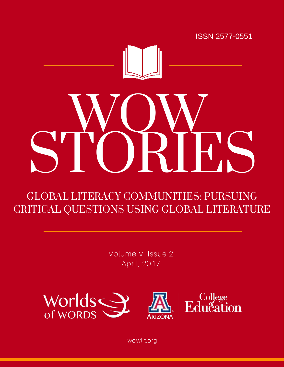



# WOW STORIES

# GLOBAL LITERACY COMMUNITIES: PURSUING CRITICAL QUESTIONS USING GLOBAL LITERATURE

Volume V, Issue 2 April, 2017



wowlit.org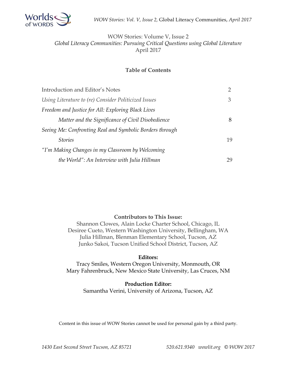

#### WOW Stories: Volume V, Issue 2 *Global Literacy Communities: Pursuing Critical Questions using Global Literature*  April 2017

#### **Table of Contents**

| Introduction and Editor's Notes                          |    |
|----------------------------------------------------------|----|
| Using Literature to (re) Consider Politicized Issues     | 3  |
| Freedom and Justice for All: Exploring Black Lives       |    |
| Matter and the Significance of Civil Disobedience        | 8  |
| Seeing Me: Confronting Real and Symbolic Borders through |    |
| <b>Stories</b>                                           | 19 |
| "I'm Making Changes in my Classroom by Welcoming         |    |
| the World": An Interview with Julia Hillman              | 29 |

#### **Contributors to This Issue:**

Shannon Clowes, Alain Locke Charter School, Chicago, IL Desiree Cueto, Western Washington University, Bellingham, WA Julia Hillman, Blenman Elementary School, Tucson, AZ Junko Sakoi, Tucson Unified School District, Tucson, AZ

#### **Editors:**

Tracy Smiles, Western Oregon University, Monmouth, OR Mary Fahrenbruck, New Mexico State University, Las Cruces, NM

#### **Production Editor:**

Samantha Verini, University of Arizona, Tucson, AZ

Content in this issue of WOW Stories cannot be used for personal gain by a third party.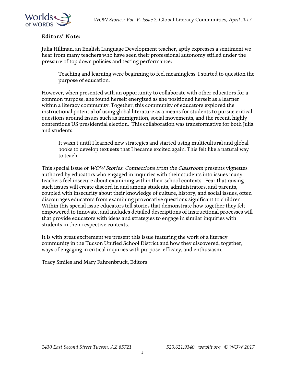

#### Editors' Note:

Julia Hillman, an English Language Development teacher, aptly expresses a sentiment we hear from many teachers who have seen their professional autonomy stifled under the pressure of top down policies and testing performance:

Teaching and learning were beginning to feel meaningless. I started to question the purpose of education.

However, when presented with an opportunity to collaborate with other educators for a common purpose, she found herself energized as she positioned herself as a learner within a literacy community. Together, this community of educators explored the instructional potential of using global literature as a means for students to pursue critical questions around issues such as immigration, social movements, and the recent, highly contentious US presidential election. This collaboration was transformative for both Julia and students.

It wasn't until I learned new strategies and started using multicultural and global books to develop text sets that I became excited again. This felt like a natural way to teach.

This special issue of WOW Stories: Connections from the Classroom presents vignettes authored by educators who engaged in inquiries with their students into issues many teachers feel insecure about examining within their school contexts. Fear that raising such issues will create discord in and among students, administrators, and parents, coupled with insecurity about their knowledge of culture, history, and social issues, often discourages educators from examining provocative questions significant to children. Within this special issue educators tell stories that demonstrate how together they felt empowered to innovate, and includes detailed descriptions of instructional processes will that provide educators with ideas and strategies to engage in similar inquiries with students in their respective contexts.

It is with great excitement we present this issue featuring the work of a literacy community in the Tucson Unified School District and how they discovered, together, ways of engaging in critical inquiries with purpose, efficacy, and enthusiasm.

Tracy Smiles and Mary Fahrenbruck, Editors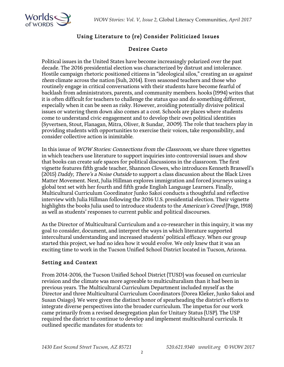



# Using Literature to (re) Consider Politicized Issues

#### Desiree Cueto

Political issues in the United States have become increasingly polarized over the past decade. The 2016 presidential election was characterized by distrust and intolerance. Hostile campaign rhetoric positioned citizens in "ideological silos," creating an us against them climate across the nation (Suh, 2014). Even seasoned teachers and those who routinely engage in critical conversations with their students have become fearful of backlash from administrators, parents, and community members. hooks (1994) writes that it is often difficult for teachers to challenge the status quo and do something different, especially when it can be seen as risky. However, avoiding potentially divisive political issues or watering them down also comes at a cost. Schools are places where students come to understand civic engagement and to develop their own political identities (Syvertsen, Stout, Flanagan, Mitra, Oliver, & Sundar, 2009). The role that teachers play in providing students with opportunities to exercise their voices, take responsibility, and consider collective action is inimitable.

In this issue of *WOW Stories: Connections from the Classroom*, we share three vignettes in which teachers use literature to support inquiries into controversial issues and show that books can create safe spaces for political discussions in the classroom. The first vignette features fifth grade teacher, Shannon Clowes, who introduces Kenneth Braswell's (2015) Daddy, There's a Noise Outside to support a class discussion about the Black Lives Matter Movement. Next, Julia Hillman explores immigration and forced journeys using a global text set with her fourth and fifth grade English Language Learners. Finally, Multicultural Curriculum Coordinator Junko Sakoi conducts a thoughtful and reflective interview with Julia Hillman following the 2016 U.S. presidential election. Their vignette highlights the books Julia used to introduce students to the American's Creed (Page, 1918) as well as students' responses to current public and political discourses.

As the Director of Multicultural Curriculum and a co-researcher in this inquiry, it was my goal to consider, document, and interpret the ways in which literature supported intercultural understanding and increased students' political efficacy. When our group started this project, we had no idea how it would evolve. We only knew that it was an exciting time to work in the Tucson Unified School District located in Tucson, Arizona.

#### Setting and Context

From 2014-2016, the Tucson Unified School District (TUSD) was focused on curricular revision and the climate was more agreeable to multiculturalism than it had been in previous years. The Multicultural Curriculum Department included myself as the Director and three Multicultural Curriculum Coordinators (Dorea Kleker, Junko Sakoi and Susan Osiago). We were given the distinct honor of spearheading the district's efforts to integrate diverse perspectives into the broader curriculum. The impetus for our work came primarily from a revised desegregation plan for Unitary Status (USP). The USP required the district to continue to develop and implement multicultural curricula. It outlined specific mandates for students to: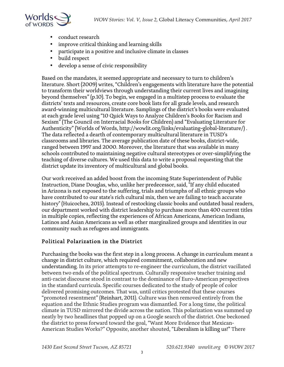

- conduct research
- improve critical thinking and learning skills
- participate in a positive and inclusive climate in classes
- build respect
- develop a sense of civic responsibility

Based on the mandates, it seemed appropriate and necessary to turn to children's literature. Short (2009) writes, "Children's engagements with literature have the potential to transform their worldviews through understanding their current lives and imagining beyond themselves" (p.10). To begin, we engaged in a multistep process to evaluate the districts' texts and resources, create core book lists for all grade levels, and research award-winning multicultural literature. Samplings of the district's books were evaluated at each grade level using "10 Quick Ways to Analyze Children's Books for Racism and Sexism" (The Council on Interracial Books for Children) and "Evaluating Literature for Authenticity" (Worlds of Words, http://wowlit.org/links/evaluating-global-literature/) . The data reflected a dearth of contemporary multicultural literature in TUSD's classrooms and libraries. The average publication date of these books, district-wide, ranged between 1997 and 2000. Moreover, the literature that was available in many schools contributed to maintaining negative cultural stereotypes or over-simplifying the teaching of diverse cultures. We used this data to write a proposal requesting that the district update its inventory of multicultural and global books.

Our work received an added boost from the incoming State Superintendent of Public Instruction, Diane Douglas, who, unlike her predecessor, said, "If any child educated in Arizona is not exposed to the suffering, trials and triumphs of all ethnic groups who have contributed to our state's rich cultural mix, then we are failing to teach accurate history" (Huicochea, 2015). Instead of restocking classic books and outdated basal readers, our department worked with district leadership to purchase more than 400 current titles in multiple copies, reflecting the experiences of African Americans, American Indians, Latinos and Asian Americans as well as other marginalized groups and identities in our community such as refugees and immigrants.

#### Political Polarization in the District

Purchasing the books was the first step in a long process. A change in curriculum meant a change in district culture, which required commitment, collaboration and new understanding. In its prior attempts to re-engineer the curriculum, the district vacillated between two ends of the political spectrum. Culturally responsive teacher training and anti-racist discourse stood in contrast to the dominance of Euro-American perspectives in the standard curricula. Specific courses dedicated to the study of people of color delivered promising outcomes. That was, until critics protested that these courses "promoted resentment" (Reinhart, 2011). Culture was then removed entirely from the equation and the Ethnic Studies program was dismantled. For a long time, the political climate in TUSD mirrored the divide across the nation. This polarization was summed up neatly by two headlines that popped up on a Google search of the district. One beckoned the district to press forward toward the goal, "Want More Evidence that Mexican-American Studies Works?" Opposite, another shouted, "Liberalism is killing us!" There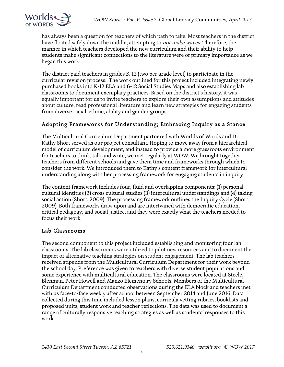

has always been a question for teachers of which path to take. Most teachers in the district have floated safely down the middle, attempting to *not make waves*. Therefore, the manner in which teachers developed the new curriculum and their ability to help students make significant connections to the literature were of primary importance as we began this work.

The district paid teachers in grades K-12 (two per grade level) to participate in the curricular revision process. The work outlined for this project included integrating newly purchased books into K-12 ELA and 6-12 Social Studies Maps and also establishing lab classrooms to document exemplary practices. Based on the district's history, it was equally important for us to invite teachers to explore their own assumptions and attitudes about culture, read professional literature and learn new strategies for engaging students from diverse racial, ethnic, ability and gender groups.

#### Adopting Frameworks for Understanding; Embracing Inquiry as a Stance

The Multicultural Curriculum Department partnered with Worlds of Words and Dr. Kathy Short served as our project consultant. Hoping to move away from a hierarchical model of curriculum development, and instead to provide a more grassroots environment for teachers to think, talk and write, we met regularly at WOW. We brought together teachers from different schools and gave them time and frameworks through which to consider the work. We introduced them to Kathy's content framework for intercultural understanding along with her processing framework for engaging students in inquiry.

The content framework includes four, fluid and overlapping components: (1) personal cultural identities (2) cross cultural studies (3) intercultural understandings and (4) taking social action (Short, 2009). The processing framework outlines the Inquiry Cycle (Short, 2009). Both frameworks draw upon and are intertwined with democratic education, critical pedagogy, and social justice, and they were exactly what the teachers needed to focus their work.

#### Lab Classrooms

The second component to this project included establishing and monitoring four lab classrooms. The lab classrooms were utilized to pilot new resources and to document the impact of alternative teaching strategies on student engagement. The lab teachers received stipends from the Multicultural Curriculum Department for their work beyond the school day. Preference was given to teachers with diverse student populations and some experience with multicultural education. The classrooms were located at Steele, Blenman, Peter Howell and Manzo Elementary Schools. Members of the Multicultural Curriculum Department conducted observations during the ELA block and teachers met with us face-to-face weekly after school between September 2014 and June 2016. Data collected during this time included lesson plans, curricula vetting rubrics, booklists and proposed units, student work and teacher reflections. The data was used to document a range of culturally responsive teaching strategies as well as students' responses to this work.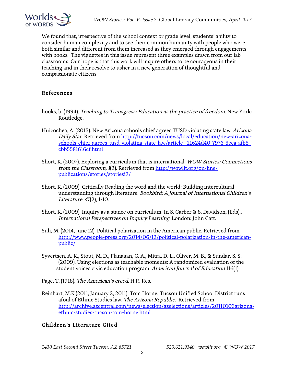

We found that, irrespective of the school context or grade level, students' ability to consider human complexity and to see their common humanity with people who were both similar and different from them increased as they emerged through engagements with books. The vignettes in this issue represent three examples drawn from our lab classrooms. Our hope is that this work will inspire others to be courageous in their teaching and in their resolve to usher in a new generation of thoughtful and compassionate citizens

#### References

- hooks, b. (1994). Teaching to Transgress: Education as the practice of freedom. New York: Routledge.
- Huicochea, A. (2015). New Arizona schools chief agrees TUSD violating state law. Arizona Daily Star. Retrieved from http://tucson.com/news/local/education/new-arizonaschools-chief-agrees-tusd-violating-state-law/article\_21624d40-7976-5eca-afb5 cbb5581616cf.html
- Short, K. (2007). Exploring a curriculum that is international. WOW Stories: Connections from the Classroom, 1(2). Retrieved from http://wowlit.org/on-linepublications/stories/storiesi2/
- Short, K. (2009). Critically Reading the word and the world: Building intercultural understanding through literature. Bookbird: A Journal of International Children's Literature. 47(2), 1-10.
- Short, K. (2009). Inquiry as a stance on curriculum. In S. Carber & S. Davidson, (Eds)., International Perspectives on Inquiry Learning. London: John Catt.
- Suh, M. (2014, June 12). Political polarization in the American public. Retrieved from http://www.people-press.org/2014/06/12/political-polarization-in-the-americanpublic/
- Syvertsen, A. K., Stout, M. D., Flanagan, C. A., Mitra, D. L., Oliver, M. B., & Sundar, S. S. (2009). Using elections as teachable moments: A randomized evaluation of the student voices civic education program. American Journal of Education 116(1).
- Page, T. (1918). The American's creed. H.R. Res.
- Reinhart, M.K.(2011, January 3, 2011). Tom Horne: Tucson Unified School District runs afoul of Ethnic Studies law. The Arizona Republic. Retrieved from http://archive.azcentral.com/news/election/azelections/articles/20110103arizonaethnic-studies-tucson-tom-horne.html

#### Children's Literature Cited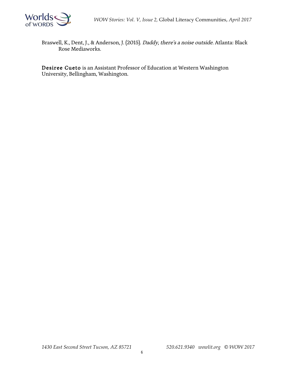

Braswell, K., Dent, J., & Anderson, J. (2015). Daddy, there's a noise outside. Atlanta: Black Rose Mediaworks.

Desiree Cueto is an Assistant Professor of Education at Western Washington University, Bellingham, Washington.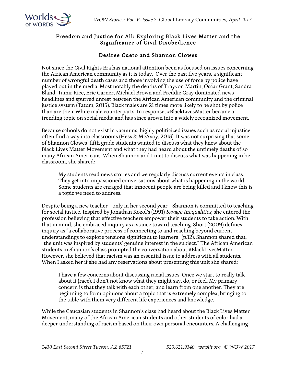

#### Freedom and Justice for All: Exploring Black Lives Matter and the Significance of Civil Disobedience

#### Desiree Cueto and Shannon Clowes

Not since the Civil Rights Era has national attention been as focused on issues concerning the African American community as it is today. Over the past five years, a significant number of wrongful death cases and those involving the use of force by police have played out in the media. Most notably the deaths of Trayvon Martin, Oscar Grant, Sandra Bland, Tamir Rice, Eric Garner, Michael Brown and Freddie Gray dominated news headlines and spurred unrest between the African American community and the criminal justice system (Tatum, 2015). Black males are 21 times more likely to be shot by police than are their White male counterparts. In response, #BlackLivesMatter became a trending topic on social media and has since grown into a widely recognized movement.

Because schools do not exist in vacuums, highly politicized issues such as racial injustice often find a way into classrooms (Hess & McAvoy, 2015). It was not surprising that some of Shannon Clowes' fifth grade students wanted to discuss what they knew about the Black Lives Matter Movement and what they had heard about the untimely deaths of so many African Americans. When Shannon and I met to discuss what was happening in her classroom, she shared:

My students read news stories and we regularly discuss current events in class. They get into impassioned conversations about what is happening in the world. Some students are enraged that innocent people are being killed and I know this is a topic we need to address.

Despite being a new teacher—only in her second year—Shannon is committed to teaching for social justice. Inspired by Jonathan Kozol's (1991) Savage Inequalities, she entered the profession believing that effective teachers empower their students to take action. With that in mind, she embraced inquiry as a stance toward teaching. Short (2009) defines inquiry as "a collaborative process of connecting to and reaching beyond current understandings to explore tensions significant to learners" (p.12). Shannon shared that, "the unit was inspired by students' genuine interest in the subject." The African American students in Shannon's class prompted the conversation about #BlackLivesMatter. However, she believed that racism was an essential issue to address with all students. When I asked her if she had any reservations about presenting this unit she shared:

I have a few concerns about discussing racial issues. Once we start to really talk about it (race), I don't not know what they might say, do, or feel. My primary concern is that they talk with each other, and learn from one another. They are beginning to form opinions about a topic that is extremely complex, bringing to the table with them very different life experiences and knowledge.

While the Caucasian students in Shannon's class had heard about the Black Lives Matter Movement, many of the African American students and other students of color had a deeper understanding of racism based on their own personal encounters. A challenging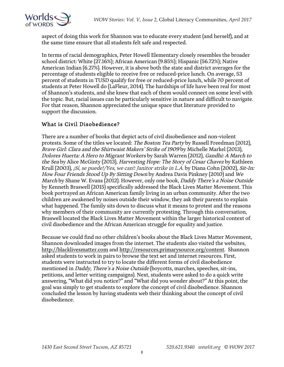

aspect of doing this work for Shannon was to educate every student (and herself), and at the same time ensure that all students felt safe and respected.

In terms of racial demographics, Peter Howell Elementary closely resembles the broader school district: White (27.16%); African American (9.85%); Hispanic (56.72%); Native American Indian (6.27%). However, it is above both the state and district averages for the percentage of students eligible to receive free or reduced-price lunch. On average, 53 percent of students in TUSD qualify for free or reduced-price lunch, while 70 percent of students at Peter Howell do (LaFleur, 2014). The hardships of life have been real for most of Shannon's students, and she knew that each of them would connect on some level with the topic. But, racial issues can be particularly sensitive in nature and difficult to navigate. For that reason, Shannon appreciated the unique space that literature provided to support the discussion.

#### What is Civil Disobedience?

There are a number of books that depict acts of civil disobedience and non-violent protests. Some of the titles we located: *The Boston Tea Party* by Russell Freedman (2012), Brave Girl: Clara and the Shirtwaist Makers' Strike of 1909 by Michelle Markel (2013), Dolores Huerta: A Hero to Migrant Workers by Sarah Warren (2012), Gandhi: A March to the Sea by Alice McGinty (2013), Harvesting Hope: The Story of Cesar Chavez by Kathleen Krull (2003), *¡Sí, se puede!/Yes, we can!: Janitor strike in L.A.* by Diana Cohn (2002), *Sit-In:* How Four Friends Stood Up By Sitting Down by Andrea Davis Pinkney (2010) and We March by Shane W. Evans (2012). However, only one book, Daddy There's a Noise Outside by Kenneth Braswell (2015) specifically addressed the Black Lives Matter Movement. This book portrayed an African American family living in an urban community. After the two children are awakened by noises outside their window, they ask their parents to explain what happened. The family sits down to discuss what it means to protest and the reasons why members of their community are currently protesting. Through this conversation, Braswell located the Black Lives Matter Movement within the larger historical context of civil disobedience and the African American struggle for equality and justice.

Because we could find no other children's books about the Black Lives Matter Movement, Shannon downloaded images from the internet. The students also visited the websites, http://blacklivesmatter.com and http://resources.primarysource.org/content. Shannon asked students to work in pairs to browse the text set and internet resources. First, students were instructed to try to locate the different forms of civil disobedience mentioned in *Daddy, There's a Noise Outside* (boycotts, marches, speeches, sit-ins, petitions, and letter writing campaigns). Next, students were asked to do a quick write answering, "What did you notice?" and "What did you wonder about?" At this point, the goal was simply to get students to explore the concept of civil disobedience. Shannon concluded the lesson by having students web their thinking about the concept of civil disobedience.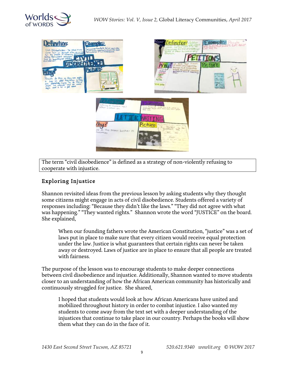



The term "civil disobedience" is defined as a strategy of non-violently refusing to cooperate with injustice.

#### Exploring Injustice

Shannon revisited ideas from the previous lesson by asking students why they thought some citizens might engage in acts of civil disobedience. Students offered a variety of responses including: "Because they didn't like the laws." "They did not agree with what was happening." "They wanted rights." Shannon wrote the word "JUSTICE" on the board. She explained,

When our founding fathers wrote the American Constitution, "justice" was a set of laws put in place to make sure that every citizen would receive equal protection under the law. Justice is what guarantees that certain rights can never be taken away or destroyed. Laws of justice are in place to ensure that all people are treated with fairness.

The purpose of the lesson was to encourage students to make deeper connections between civil disobedience and injustice. Additionally, Shannon wanted to move students closer to an understanding of how the African American community has historically and continuously struggled for justice. She shared,

I hoped that students would look at how African Americans have united and mobilized throughout history in order to combat injustice. I also wanted my students to come away from the text set with a deeper understanding of the injustices that continue to take place in our country. Perhaps the books will show them what they can do in the face of it.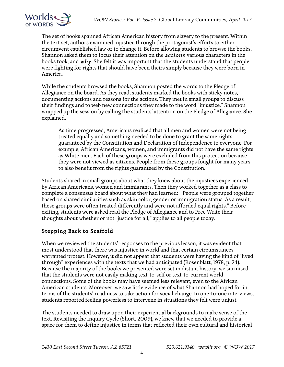

The set of books spanned African American history from slavery to the present. Within the text set, authors examined injustice through the protagonist's efforts to either circumvent established law or to change it. Before allowing students to browse the books, Shannon asked them to focus their attention on the *actions* various characters in the books took, and  $why$ . She felt it was important that the students understand that people were fighting for rights that should have been theirs simply because they were born in America.

While the students browsed the books, Shannon posted the words to the Pledge of Allegiance on the board. As they read, students marked the books with sticky notes, documenting actions and reasons for the actions. They met in small groups to discuss their findings and to web new connections they made to the word "injustice." Shannon wrapped up the session by calling the students' attention on the Pledge of Allegiance. She explained,

As time progressed, Americans realized that all men and women were not being treated equally and something needed to be done to grant the same rights guaranteed by the Constitution and Declaration of Independence to everyone. For example, African Americans, women, and immigrants did not have the same rights as White men. Each of these groups were excluded from this protection because they were not viewed as citizens. People from these groups fought for many years to also benefit from the rights guaranteed by the Constitution.

Students shared in small groups about what they knew about the injustices experienced by African Americans, women and immigrants. Then they worked together as a class to complete a consensus board about what they had learned: "People were grouped together based on shared similarities such as skin color, gender or immigration status. As a result, these groups were often treated differently and were not afforded equal rights." Before exiting, students were asked read the Pledge of Allegiance and to Free Write their thoughts about whether or not "justice for all," applies to all people today.

# Stepping Back to Scaffold

When we reviewed the students' responses to the previous lesson, it was evident that most understood that there was injustice in world and that certain circumstances warranted protest. However, it did not appear that students were having the kind of "lived through" experiences with the texts that we had anticipated (Rosenblatt, 1978, p. 24). Because the majority of the books we presented were set in distant history, we surmised that the students were not easily making text-to-self or text-to-current world connections. Some of the books may have seemed less relevant, even to the African American students. Moreover, we saw little evidence of what Shannon had hoped for in terms of the students' readiness to take action for social change. In one-to-one interviews, students reported feeling powerless to intervene in situations they felt were unjust.

The students needed to draw upon their experiential backgrounds to make sense of the text. Revisiting the Inquiry Cycle (Short, 2009), we knew that we needed to provide a space for them to define injustice in terms that reflected their own cultural and historical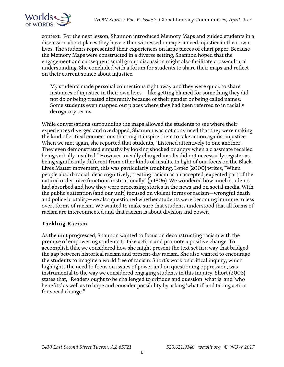

context. For the next lesson, Shannon introduced Memory Maps and guided students in a discussion about places they have either witnessed or experienced injustice in their own lives. The students represented their experiences on large pieces of chart paper. Because the Memory Maps were constructed in a diverse setting, Shannon hoped that the engagement and subsequent small group discussion might also facilitate cross-cultural understanding. She concluded with a forum for students to share their maps and reflect on their current stance about injustice.

My students made personal connections right away and they were quick to share instances of injustice in their own lives – like getting blamed for something they did not do or being treated differently because of their gender or being called names. Some students even mapped out places where they had been referred to in racially derogatory terms.

While conversations surrounding the maps allowed the students to see where their experiences diverged and overlapped, Shannon was not convinced that they were making the kind of critical connections that might inspire them to take action against injustice. When we met again, she reported that students, "Listened attentively to one another. They even demonstrated empathy by looking shocked or angry when a classmate recalled being verbally insulted." However, racially charged insults did not necessarily register as being significantly different from other kinds of insults. In light of our focus on the Black Lives Matter movement, this was particularly troubling. Lopez (2000) writes, "When people absorb racial ideas cognitively, treating racism as an accepted, expected part of the natural order, race functions institutionally" (p.1806). We wondered how much students had absorbed and how they were processing stories in the news and on social media. With the public's attention (and our unit) focused on violent forms of racism—wrongful death and police brutality—we also questioned whether students were becoming immune to less overt forms of racism. We wanted to make sure that students understood that all forms of racism are interconnected and that racism is about division and power.

#### Tackling Racism

As the unit progressed, Shannon wanted to focus on deconstructing racism with the premise of empowering students to take action and promote a positive change. To accomplish this, we considered how she might present the text set in a way that bridged the gap between historical racism and present-day racism. She also wanted to encourage the students to imagine a world free of racism. Short's work on critical inquiry, which highlights the need to focus on issues of power and on questioning oppression, was instrumental to the way we considered engaging students in this inquiry. Short (2003) states that, "Readers ought to be challenged to critique and question 'what is' and 'who benefits' as well as to hope and consider possibility by asking 'what if' and taking action for social change."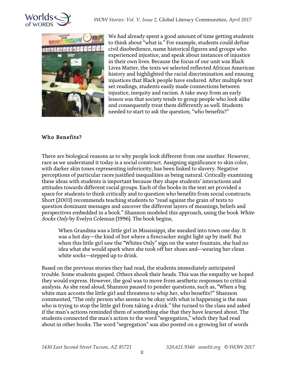



We had already spent a good amount of time getting students to think about "what is." For example, students could define civil disobedience, name historical figures and groups who experienced injustice, and speak about instances of injustice in their own lives. Because the focus of our unit was Black Lives Matter, the texts we selected reflected African American history and highlighted the racial discrimination and ensuing injustices that Black people have endured. After multiple text set readings, students easily made connections between injustice, inequity and racism. A take away from an early lesson was that society tends to group people who look alike and consequently treat them differently as well. Students needed to start to ask the question, "who benefits?"

#### Who Benefits?

There are biological reasons as to why people look different from one another. However, race as we understand it today is a social construct. Assigning significance to skin color, with darker skin tones representing inferiority, has been linked to slavery. Negative perceptions of particular races justified inequalities as being natural. Critically examining these ideas with students is important because they shape students' interactions and attitudes towards different racial groups. Each of the books in the text set provided a space for students to think critically and to question who benefits from social constructs. Short (2003) recommends teaching students to "read against the grain of texts to question dominant messages and uncover the different layers of meanings, beliefs and perspectives embedded in a book." Shannon modeled this approach, using the book White Socks Only by Evelyn Coleman (1996). The book begins,

When Grandma was a little girl in Mississippi, she sneaked into town one day. It was a hot day—the kind of hot where a firecracker might light up by itself. But when this little girl saw the "Whites Only" sign on the water fountain, she had no idea what she would spark when she took off her shoes and—wearing her clean white socks—stepped up to drink.

Based on the previous stories they had read, the students immediately anticipated trouble. Some students gasped. Others shook their heads. This was the empathy we hoped they would express. However, the goal was to move from aesthetic responses to critical analysis. As she read aloud, Shannon paused to ponder questions, such as, "When a big white man accosts the little girl and threatens to whip her, who benefits?" Shannon commented, "The only person who seems to be okay with what is happening is the man who is trying to stop the little girl from taking a drink." She turned to the class and asked if the man's actions reminded them of something else that they have learned about. The students connected the man's action to the word "segregation," which they had read about in other books. The word "segregation" was also posted on a growing list of words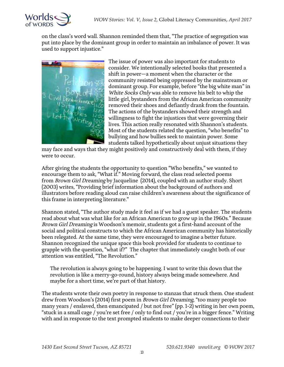

on the class's word wall. Shannon reminded them that, "The practice of segregation was put into place by the dominant group in order to maintain an imbalance of power. It was used to support injustice."



The issue of power was also important for students to consider. We intentionally selected books that presented a shift in power—a moment when the character or the community resisted being oppressed by the mainstream or dominant group. For example, before "the big white man" in White Socks Only was able to remove his belt to whip the little girl, bystanders from the African American community removed their shoes and defiantly drank from the fountain. The actions of the bystanders showed their strength and willingness to fight the injustices that were governing their lives. This action really resonated with Shannon's students. Most of the students related the question, "who benefits" to bullying and how bullies seek to maintain power. Some students talked hypothetically about unjust situations they

may face and ways that they might positively and constructively deal with them, if they were to occur.

After giving the students the opportunity to question "Who benefits," we wanted to encourage them to ask, "What if." Moving forward, the class read selected poems from Brown Girl Dreaming by Jacqueline (2014), coupled with an author study. Short (2003) writes, "Providing brief information about the background of authors and illustrators before reading aloud can raise children's awareness about the significance of this frame in interpreting literature."

Shannon stated, "The author study made it feel as if we had a guest speaker. The students read about what was what like for an African American to grow up in the 1960s." Because Brown Girl Dreaming is Woodson's memoir, students got a first-hand account of the social and political constructs to which the African American community has historically been relegated. At the same time, they were encouraged to imagine a better future. Shannon recognized the unique space this book provided for students to continue to grapple with the question, "what if?" The chapter that immediately caught both of our attention was entitled, "The Revolution."

The revolution is always going to be happening. I want to write this down that the revolution is like a merry-go-round, history always being made somewhere. And maybe for a short time, we're part of that history.

The students wrote their own poetry in response to stanzas that struck them. One student drew from Woodson's (2014) first poem in Brown Girl Dreaming, "too many people too many years / enslaved, then emancipated / but not free" (pp. 1-2) writing in her own poem, "stuck in a small cage / you're set free / only to find out / you're in a bigger fence." Writing with and in response to the text prompted students to make deeper connections to their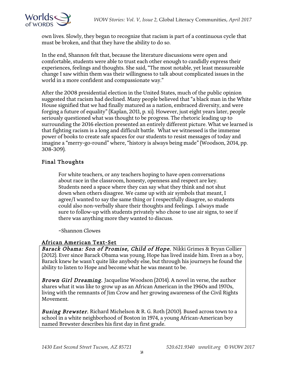

own lives. Slowly, they began to recognize that racism is part of a continuous cycle that must be broken, and that they have the ability to do so.

In the end, Shannon felt that, because the literature discussions were open and comfortable, students were able to trust each other enough to candidly express their experiences, feelings and thoughts. She said, "The most notable, yet least measureable change I saw within them was their willingness to talk about complicated issues in the world in a more confident and compassionate way."

After the 2008 presidential election in the United States, much of the public opinion suggested that racism had declined. Many people believed that "a black man in the White House signified that we had finally matured as a nation, embraced diversity, and were forging a future of equality" (Kaplan, 2011, p. xi). However, just eight years later, people seriously questioned what was thought to be progress. The rhetoric leading up to surrounding the 2016 election presented an entirely different picture. What we learned is that fighting racism is a long and difficult battle. What we witnessed is the immense power of books to create safe spaces for our students to resist messages of today and imagine a "merry-go-round" where, "history is always being made" (Woodson, 2014, pp. 308-309).

#### Final Thoughts

For white teachers, or any teachers hoping to have open conversations about race in the classroom, honesty, openness and respect are key. Students need a space where they can say what they think and not shut down when others disagree. We came up with air symbols that meant, I agree/I wanted to say the same thing or I respectfully disagree, so students could also non-verbally share their thoughts and feelings. I always made sure to follow-up with students privately who chose to use air signs, to see if there was anything more they wanted to discuss.

~Shannon Clowes

#### African American Text-Set

Barack Obama: Son of Promise, Child of Hope. Nikki Grimes & Bryan Collier (2012). Ever since Barack Obama was young, Hope has lived inside him. Even as a boy, Barack knew he wasn't quite like anybody else, but through his journeys he found the ability to listen to Hope and become what he was meant to be.

Brown Girl Dreaming. Jacqueline Woodson (2014). A novel in verse, the author shares what it was like to grow up as an African American in the 1960s and 1970s, living with the remnants of Jim Crow and her growing awareness of the Civil Rights Movement.

**Busing Brewster.** Richard Michelson & R. G. Roth (2010). Bused across town to a school in a white neighborhood of Boston in 1974, a young African-American boy named Brewster describes his first day in first grade.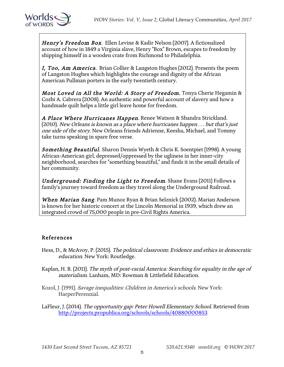

Henry's Freedom Box. Ellen Levine & Kadir Nelson (2007). A fictionalized account of how in 1849 a Virginia slave, Henry "Box" Brown, escapes to freedom by shipping himself in a wooden crate from Richmond to Philadelphia.

I, Too, Am America. Brian Collier & Langston Hughes (2012). Presents the poem of Langston Hughes which highlights the courage and dignity of the African American Pullman porters in the early twentieth century.

Most Loved in All the World: A Story of Freedom. Tonya Cherie Hegamin & Cozbi A. Cabrera (2008). An authentic and powerful account of slavery and how a handmade quilt helps a little girl leave home for freedom.

A Place Where Hurricanes Happen. Renee Watson & Shandra Strickland. (2010). New Orleans is known as a place where hurricanes happen . . . but that's just one side of the story. New Orleans friends Adrienne, Keesha, Michael, and Tommy take turns speaking in spare free verse.

**Something Beautiful.** Sharon Dennis Wyeth & Chris K. Soentpiet (1998). A young African-American girl, depressed/oppressed by the ugliness in her inner-city neighborhood, searches for "something beautiful," and finds it in the small details of her community.

Underground: Finding the Light to Freedom. Shane Evans (2011) Follows a family's journey toward freedom as they travel along the Underground Railroad.

When Marian Sang. Pam Munoz Ryan & Brian Selznick (2002). Marian Anderson is known for her historic concert at the Lincoln Memorial in 1939, which drew an integrated crowd of 75,000 people in pre-Civil Rights America.

#### References

- Hess, D., & McAvoy, P. (2015). The political classroom: Evidence and ethics in democratic education. New York: Routledge.
- Kaplan, H. R. (2011). The myth of post-racial America: Searching for equality in the age of materialism. Lanham, MD: Rowman & Littlefield Education.
- Kozol, J. (1991). Savage inequalities: Children in America's schools. New York: HarperPerennial.
- LaFleur, J. (2014). The opportunity gap: Peter Howell Elementary School. Retrieved from http://projects.propublica.org/schools/schools/40880000853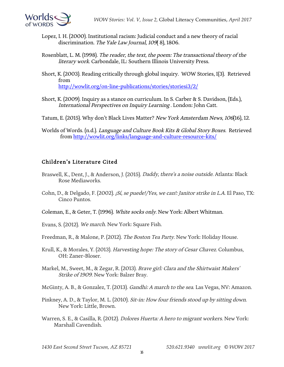

- Lopez, I. H. (2000). Institutional racism: Judicial conduct and a new theory of racial discrimination. The Yale Law Journal, 109( 8), 1806.
- Rosenblatt, L. M. (1998). The reader, the text, the poem: The transactional theory of the literary work. Carbondale, IL: Southern Illinois University Press.
- Short, K. (2003). Reading critically through global inquiry. WOW Stories, I(3). Retrieved from http://wowlit.org/on-line-publications/stories/storiesi3/2/
- Short, K. (2009). Inquiry as a stance on curriculum. In S. Carber & S. Davidson, (Eds.), International Perspectives on Inquiry Learning . London: John Catt.
- Tatum, E. (2015). Why don't Black Lives Matter? New York Amsterdam News, 106(16), 12.
- Worlds of Words. (n.d.). Language and Culture Book Kits & Global Story Boxes. Retrieved from http://wowlit.org/links/language-and-culture-resource-kits/

#### Children's Literature Cited

- Braswell, K., Dent, J., & Anderson, J. (2015). *Daddy, there's a noise outside*. Atlanta: Black Rose Mediaworks.
- Cohn, D., & Delgado, F. (2002). *¡Sí, se puede!/Yes, we can!: Janitor strike in L.A.* El Paso, TX: Cinco Puntos.
- Coleman, E., & Geter, T. (1996). White socks only. New York: Albert Whitman.
- Evans, S. (2012). We march. New York: Square Fish.
- Freedman, R., & Malone, P. (2012). The Boston Tea Party. New York: Holiday House.
- Krull, K., & Morales, Y. (2013). Harvesting hope: The story of Cesar Chavez. Columbus, OH: Zaner-Bloser.
- Markel, M., Sweet, M., & Zegar, R. (2013). Brave girl: Clara and the Shirtwaist Makers' Strike of 1909. New York: Balzer Bray.
- McGinty, A. B., & Gonzalez, T. (2013). Gandhi: A march to the sea. Las Vegas, NV: Amazon.
- Pinkney, A. D., & Taylor, M. L. (2010). Sit-in: How four friends stood up by sitting down. New York: Little, Brown.
- Warren, S. E., & Casilla, R. (2012). *Dolores Huerta: A hero to migrant workers*. New York: Marshall Cavendish.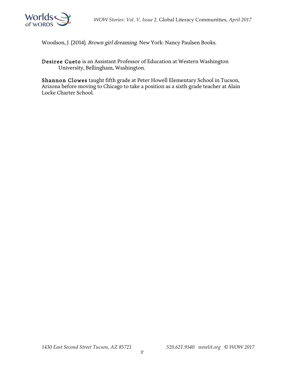

Woodson, J. (2014). Brown girl dreaming. New York: Nancy Paulsen Books.

Desiree Cueto is an Assistant Professor of Education at Western Washington University, Bellingham, Washington.

Shannon Clowes taught fifth grade at Peter Howell Elementary School in Tucson, Arizona before moving to Chicago to take a position as a sixth grade teacher at Alain Locke Charter School.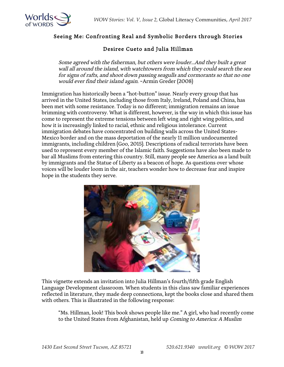

#### Seeing Me: Confronting Real and Symbolic Borders through Stories

#### Desiree Cueto and Julia Hillman

Some agreed with the fisherman, but others were louder…And they built a great wall all around the island, with watchtowers from which they could search the sea for signs of rafts, and shoot down passing seagulls and cormorants so that no one would ever find their island again. ~Armin Greder (2008)

Immigration has historically been a "hot-button" issue. Nearly every group that has arrived in the United States, including those from Italy, Ireland, Poland and China, has been met with some resistance. Today is no different; immigration remains an issue brimming with controversy. What is different, however, is the way in which this issue has come to represent the extreme tensions between left wing and right wing politics, and how it is increasingly linked to racial, ethnic and religious intolerance. Current immigration debates have concentrated on building walls across the United States-Mexico border and on the mass deportation of the nearly 11 million undocumented immigrants, including children (Goo, 2015). Descriptions of radical terrorists have been used to represent every member of the Islamic faith. Suggestions have also been made to bar all Muslims from entering this country. Still, many people see America as a land built by immigrants and the Statue of Liberty as a beacon of hope. As questions over whose voices will be louder loom in the air, teachers wonder how to decrease fear and inspire hope in the students they serve.



This vignette extends an invitation into Julia Hillman's fourth/fifth grade English Language Development classroom. When students in this class saw familiar experiences reflected in literature, they made deep connections, kept the books close and shared them with others. This is illustrated in the following response:

"Ms. Hillman, look! This book shows people like me." A girl, who had recently come to the United States from Afghanistan, held up Coming to America: A Muslim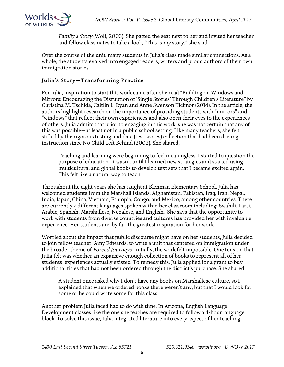

Family's Story (Wolf, 2003). She patted the seat next to her and invited her teacher and fellow classmates to take a look, "This is my story," she said.

Over the course of the unit, many students in Julia's class made similar connections. As a whole, the students evolved into engaged readers, writers and proud authors of their own immigration stories.

#### Julia's Story—Transforming Practice

For Julia, inspiration to start this work came after she read "Building on Windows and Mirrors: Encouraging the Disruption of 'Single Stories' Through Children's Literature" by Christina M. Tschida, Caitlin L. Ryan and Anne Swenson Ticknor (2014). In the article, the authors highlight research on the importance of providing students with "mirrors" and "windows" that reflect their own experiences and also open their eyes to the experiences of others. Julia admits that prior to engaging in this work, she was not certain that any of this was possible—at least not in a public school setting. Like many teachers, she felt stifled by the rigorous testing and data (test scores) collection that had been driving instruction since No Child Left Behind (2002). She shared,

Teaching and learning were beginning to feel meaningless. I started to question the purpose of education. It wasn't until I learned new strategies and started using multicultural and global books to develop text sets that I became excited again. This felt like a natural way to teach.

Throughout the eight years she has taught at Blenman Elementary School, Julia has welcomed students from the Marshall Islands, Afghanistan, Pakistan, Iraq, Iran, Nepal, India, Japan, China, Vietnam, Ethiopia, Congo, and Mexico, among other countries. There are currently 7 different languages spoken within her classroom including: Swahili, Farsi, Arabic, Spanish, Marshallese, Nepalese, and English. She says that the opportunity to work with students from diverse countries and cultures has provided her with invaluable experience. Her students are, by far, the greatest inspiration for her work.

Worried about the impact that public discourse might have on her students, Julia decided to join fellow teacher, Amy Edwards, to write a unit that centered on immigration under the broader theme of Forced Journeys. Initially, the work felt impossible. One tension that Julia felt was whether an expansive enough collection of books to represent all of her students' experiences actually existed. To remedy this, Julia applied for a grant to buy additional titles that had not been ordered through the district's purchase. She shared,

A student once asked why I don't have any books on Marshallese culture, so I explained that when we ordered books there weren't any, but that I would look for some or he could write some for this class.

Another problem Julia faced had to do with time. In Arizona, English Language Development classes like the one she teaches are required to follow a 4-hour language block. To solve this issue, Julia integrated literature into every aspect of her teaching.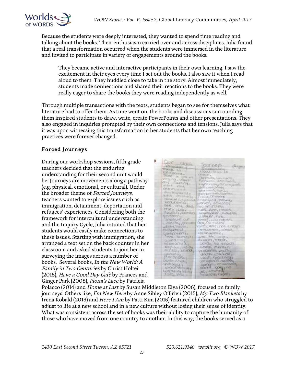

Because the students were deeply interested, they wanted to spend time reading and talking about the books. Their enthusiasm carried over and across disciplines. Julia found that a real transformation occurred when the students were immersed in the literature and invited to participate in variety of engagements around the books.

They became active and interactive participants in their own learning. I saw the excitement in their eyes every time I set out the books. I also saw it when I read aloud to them. They huddled close to take in the story. Almost immediately, students made connections and shared their reactions to the books. They were really eager to share the books they were reading independently as well.

Through multiple transactions with the texts, students began to see for themselves what literature had to offer them. As time went on, the books and discussions surrounding them inspired students to draw, write, create PowerPoints and other presentations. They also engaged in inquiries prompted by their own connections and tensions. Julia says that it was upon witnessing this transformation in her students that her own teaching practices were forever changed.

#### Forced Journeys

During our workshop sessions, fifth grade teachers decided that the enduring understanding for their second unit would be: Journeys are movements along a pathway (e.g. physical, emotional, or cultural). Under the broader theme of Forced Journeys, teachers wanted to explore issues such as immigration, detainment, deportation and refugees' experiences. Considering both the framework for intercultural understanding and the Inquiry Cycle, Julia intuited that her students would easily make connections to these issues. Starting with immigration, she arranged a text set on the back counter in her classroom and asked students to join her in surveying the images across a number of books. Several books, In the New World: A Family in Two Centuries by Christ Holtei (2015), *Have a Good Day Café* by Frances and Ginger Park (2008), Fiona's Lace by Patricia

| <b>CAVE GROPPE</b>                  | <b>CONTROLL</b>               |                   |
|-------------------------------------|-------------------------------|-------------------|
| <b>Youvakariu</b>                   | <b>Terministicia</b>          | <b>CRYSTOPHER</b> |
| WWW. 10                             | $+1000 - 11011 - 01$          |                   |
| <b>ITAN COUNTRY</b>                 | CFINALE                       |                   |
| TOYLE OF USIN AVT                   | TRITINGG, INVARIANTIL         |                   |
| WITCHTON - YEAHUNY                  | Fightwork is a checked on the |                   |
| my Family                           | Lighting of mounts            |                   |
| within word,                        | LOOK LIKELINGULARY            |                   |
| $40.0116$ (TV) (D. D. P. D.         | Mithew Source Mary            |                   |
| about templay till, a               | Illie vesir italis committe   |                   |
| with collegein                      | <b>Productional e</b>         |                   |
| CALLAR, ON EL HIGHO                 | ET-da?Quit il "Youlfung,      |                   |
| GERUSOVICI,                         | water, almonto                |                   |
| bee cruz dady                       | TOW STOLE VARIETY             |                   |
| CORK LLCDA-                         | nato, dush, closulty          |                   |
| MOUVELLE, CAPTOLIN                  | are artistable completely the |                   |
| <b>ACCORD</b>                       | SLOBOLES, FILES               |                   |
| <b>RAWNUM OF</b>                    | (15kmed), cash industry       |                   |
| coconypro                           | FOGUSO TUNISI                 |                   |
| <b><i><u>DITITIVE MOUNE</u></i></b> | WITH CONTESTION CONDITI       |                   |
| L'IGNUARIOTE                        | CERTIOLPHIC  GORDON,          |                   |
| <b>GONNYMENT</b>                    | <b>CONDOMNEL</b>              |                   |
| WHE OCEANTS                         | Long Wie Massey               |                   |
| Quint Triago                        | <b>DEBRAYTEDST.</b>           |                   |
| <b>Potomon in Age</b>               | cally to much                 |                   |
| Rongfords , Louis Dire              | science, mentions             |                   |
| P. DAGL, CHINAAL                    | problems, weaks               |                   |
| CHANGOLOGIC                         | CARLOPS ATTICKED,             |                   |
| <b>AMERICAN-</b>                    | LEUGH ALBOTATOLLY             |                   |
| OUTH LIXEA                          | weapons, sants                |                   |
| <b><i>STORIGOOD LI</i></b>          | DOUGH ANYWORKED.              |                   |
| SHIPPING LA                         | $conv + conv_1$               |                   |
| <b>AN EL ENTIMETROL</b>             | able accomed.                 |                   |
| A WALLACEAN                         | incoat@lea Kadella            |                   |
|                                     |                               |                   |

Polacco (2014) and *Home at Last* by Susan Middleton Elya (2006), focused on family journeys. Others like, I'm New Here by Anne Sibley O'Brien (2015), My Two Blankets by Irena Kobald (2015) and Here I Am by Patti Kim (2015) featured children who struggled to adjust to life at a new school and in a new culture without losing their sense of identity. What was consistent across the set of books was their ability to capture the humanity of those who have moved from one country to another. In this way, the books served as a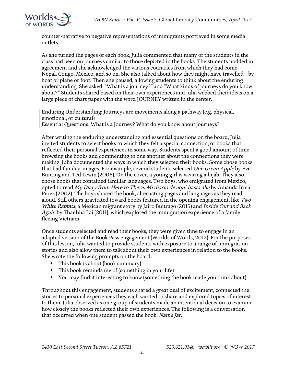



counter-narrative to negative representations of immigrants portrayed in some media outlets.

As she turned the pages of each book, Julia commented that many of the students in the class had been on journeys similar to those depicted in the books. The students nodded in agreement and she acknowledged the various countries from which they had come— Nepal, Congo, Mexico, and so on. She also talked about how they might have travelled—by boat or plane or foot. Then she paused, allowing students to think about the enduring understanding. She asked, "What is a journey?" and "What kinds of journeys do you know about?" Students shared based on their own experiences and Julia webbed their ideas on a large piece of chart paper with the word JOURNEY written in the center.

Enduring Understanding: Journeys are movements along a pathway (e.g. physical, emotional, or cultural) Essential Questions: What is a Journey? What do you know about journeys?

After writing the enduring understanding and essential questions on the board, Julia invited students to select books to which they felt a special connection, or books that reflected their personal experiences in some way. Students spent a good amount of time browsing the books and commenting to one another about the connections they were making. Julia documented the ways in which they selected their books. Some chose books that had familiar images. For example, several students selected One Green Apple by Eve Bunting and Ted Lewin (2006). On the cover, a young girl is wearing a hijab. They also chose books that contained familiar languages. Two boys, who emigrated from Mexico, opted to read My Diary from Here to There: Mi diario de aqui hasta alla by Amanda Irma Perez (2002). The boys shared the book, alternating pages and languages as they read aloud. Still others gravitated toward books featured in the opening engagement, like Two White Rabbits, a Mexican migrant story by Jairo Buitrago (2015) and Inside Out and Back Again by Thanhha Lai (2011), which explored the immigration experience of a family fleeing Vietnam.

Once students selected and read their books, they were given time to engage in an adapted version of the Book Pass engagement (Worlds of Words, 2012). For the purposes of this lesson, Julia wanted to provide students with exposure to a range of immigration stories and also allow them to talk about their own experiences in relation to the books. She wrote the following prompts on the board:

- This book is about (book summary)
- This book reminds me of (something in your life)
- You may find it interesting to know (something the book made you think about)

Throughout this engagement, students shared a great deal of excitement, connected the stories to personal experiences they each wanted to share and explored topics of interest to them. Julia observed as one group of students made an intentional decision to examine how closely the books reflected their own experiences. The following is a conversation that occurred when one student passed the book, Name Jar.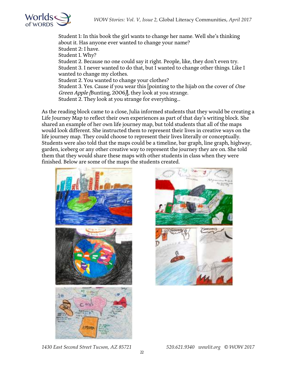

Student 1: In this book the girl wants to change her name. Well she's thinking about it. Has anyone ever wanted to change your name? Student 2: I have. Student 1. Why? Student 2. Because no one could say it right. People, like, they don't even try. Student 3. I never wanted to do that, but I wanted to change other things. Like I wanted to change my clothes. Student 2. You wanted to change your clothes? Student 3. Yes. Cause if you wear this [pointing to the hijab on the cover of One Green Apple (Bunting, 2006)], they look at you strange. Student 2. They look at you strange for everything...

As the reading block came to a close, Julia informed students that they would be creating a Life Journey Map to reflect their own experiences as part of that day's writing block. She shared an example of her own life journey map, but told students that all of the maps would look different. She instructed them to represent their lives in creative ways on the life journey map. They could choose to represent their lives literally or conceptually. Students were also told that the maps could be a timeline, bar graph, line graph, highway, garden, iceberg or any other creative way to represent the journey they are on. She told them that they would share these maps with other students in class when they were finished. Below are some of the maps the students created.





*1430 East Second Street Tucson, AZ 85721 520.621.9340 wowlit.org © WOW 2017*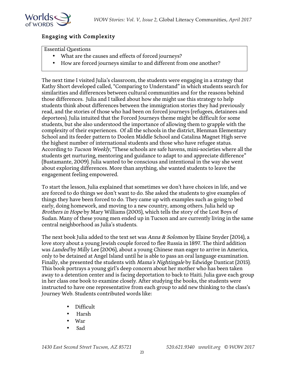

#### Engaging with Complexity

Essential Questions

- What are the causes and effects of forced journeys?
- How are forced journeys similar to and different from one another?

The next time I visited Julia's classroom, the students were engaging in a strategy that Kathy Short developed called, "Comparing to Understand" in which students search for similarities and differences between cultural communities and for the reasons behind those differences. Julia and I talked about how she might use this strategy to help students think about differences between the immigration stories they had previously read, and the stories of those who had been on forced journeys (refugees, detainees and deportees). Julia intuited that the Forced Journeys theme might be difficult for some students, but she also understood the importance of allowing them to grapple with the complexity of their experiences. Of all the schools in the district, Blenman Elementary School and its feeder pattern to Doolen Middle School and Catalina Magnet High serve the highest number of international students and those who have refugee status. According to *Tucson Weekly*, "These schools are safe havens, mini-societies where all the students get nurturing, mentoring and guidance to adapt to and appreciate difference" (Bustamante, 2009). Julia wanted to be conscious and intentional in the way she went about exploring differences. More than anything, she wanted students to leave the engagement feeling empowered.

To start the lesson, Julia explained that sometimes we don't have choices in life, and we are forced to do things we don't want to do. She asked the students to give examples of things they have been forced to do. They came up with examples such as going to bed early, doing homework, and moving to a new country, among others. Julia held up Brothers in Hope by Mary Williams (2005), which tells the story of the Lost Boys of Sudan. Many of these young men ended up in Tucson and are currently living in the same central neighborhood as Julia's students.

The next book Julia added to the text set was *Anna & Solomon* by Elaine Snyder (2014), a love story about a young Jewish couple forced to flee Russia in 1897. The third addition was Landed by Milly Lee (2006), about a young Chinese man eager to arrive in America, only to be detained at Angel Island until he is able to pass an oral language examination. Finally, she presented the students with Mama's Nightingale by Edwidge Danticat (2015). This book portrays a young girl's deep concern about her mother who has been taken away to a detention center and is facing deportation to back to Haiti. Julia gave each group in her class one book to examine closely. After studying the books, the students were instructed to have one representative from each group to add new thinking to the class's Journey Web. Students contributed words like:

- Difficult
- Harsh
- War
- Sad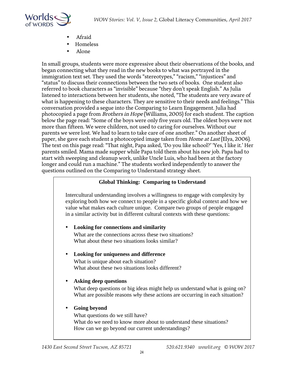

- Afraid
- Homeless
- Alone

In small groups, students were more expressive about their observations of the books, and began connecting what they read in the new books to what was portrayed in the immigration text set. They used the words "stereotypes," "racism," "injustices" and "status" to discuss their connections between the two sets of books. One student also referred to book characters as "invisible" because "they don't speak English." As Julia listened to interactions between her students, she noted, "The students are very aware of what is happening to these characters. They are sensitive to their needs and feelings." This conversation provided a segue into the Comparing to Learn Engagement. Julia had photocopied a page from Brothers in Hope (Williams, 2005) for each student. The caption below the page read: "Some of the boys were only five years old. The oldest boys were not more than fifteen. We were children, not used to caring for ourselves. Without our parents we were lost. We had to learn to take care of one another." On another sheet of paper, she gave each student a photocopied image taken from *Home at Last* (Elya, 2006). The text on this page read: "That night, Papa asked, 'Do you like school?' 'Yes, I like it.' Her parents smiled. Mama made supper while Papa told them about his new job. Papa had to start with sweeping and cleanup work, unlike Uncle Luis, who had been at the factory longer and could run a machine." The students worked independently to answer the questions outlined on the Comparing to Understand strategy sheet.

#### **Global Thinking: Comparing to Understand**

Intercultural understanding involves a willingness to engage with complexity by exploring both how we connect to people in a specific global context and how we value what makes each culture unique. Compare two groups of people engaged in a similar activity but in different cultural contexts with these questions:

#### • **Looking for connections and similarity**

What are the connections across these two situations? What about these two situations looks similar?

#### • **Looking for uniqueness and difference**

What is unique about each situation? What about these two situations looks different?

#### • **Asking deep questions**

What deep questions or big ideas might help us understand what is going on? What are possible reasons *why* these actions are occurring in each situation?

#### • **Going beyond**

What questions do we still have? What do we need to know more about to understand these situations? How can we go beyond our current understandings?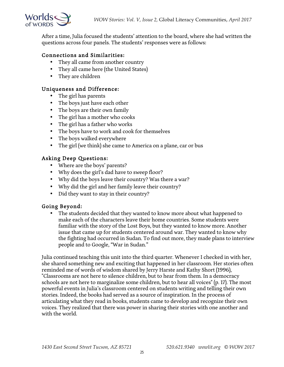

After a time, Julia focused the students' attention to the board, where she had written the questions across four panels. The students' responses were as follows:

#### Connections and Similarities:

- They all came from another country
- They all came here (the United States)
- They are children

#### Uniqueness and Difference:

- The girl has parents
- The boys just have each other
- The boys are their own family
- The girl has a mother who cooks
- The girl has a father who works
- The boys have to work and cook for themselves
- The boys walked everywhere
- The girl (we think) she came to America on a plane, car or bus

#### Asking Deep Questions:

- Where are the boys' parents?
- Why does the girl's dad have to sweep floor?
- Why did the boys leave their country? Was there a war?
- Why did the girl and her family leave their country?
- Did they want to stay in their country?

#### Going Beyond:

• The students decided that they wanted to know more about what happened to make each of the characters leave their home countries. Some students were familiar with the story of the Lost Boys, but they wanted to know more. Another issue that came up for students centered around war. They wanted to know why the fighting had occurred in Sudan. To find out more, they made plans to interview people and to Google, "War in Sudan."

Julia continued teaching this unit into the third quarter. Whenever I checked in with her, she shared something new and exciting that happened in her classroom. Her stories often reminded me of words of wisdom shared by Jerry Harste and Kathy Short (1996), "Classrooms are not here to silence children, but to hear from them. In a democracy schools are not here to marginalize some children, but to hear all voices" (p. 17). The most powerful events in Julia's classroom centered on students writing and telling their own stories. Indeed, the books had served as a source of inspiration. In the process of articulating what they read in books, students came to develop and recognize their own voices. They realized that there was power in sharing their stories with one another and with the world.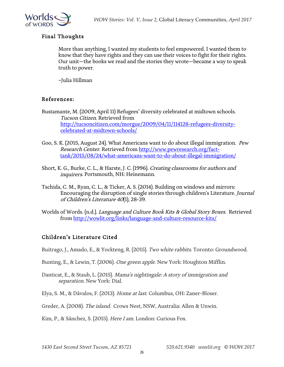

#### Final Thoughts

More than anything, I wanted my students to feel empowered. I wanted them to know that they have rights and they can use their voices to fight for their rights. Our unit—the books we read and the stories they wrote—became a way to speak truth to power.

~Julia Hillman

#### References:

- Bustamante, M. (2009, April 11) Refugees' diversity celebrated at midtown schools. Tucson Citizen. Retrieved from http://tucsoncitizen.com/morgue/2009/04/11/114128-refugees-diversitycelebrated-at-midtown-schools/
- Goo, S. K. (2015, August 24). What Americans want to do about illegal immigration. Pew Research Center. Retrieved from http://www.pewresearch.org/facttank/2015/08/24/what-americans-want-to-do-about-illegal-immigration/
- Short, K. G., Burke, C. L., & Harste, J. C. (1996). Creating classrooms for authors and inquirers. Portsmouth, NH: Heinemann.
- Tschida, C. M., Ryan, C. L., & Ticker, A. S. (2014). Building on windows and mirrors: Encouraging the disruption of single stories through children's Literature. Journal of Children's Literature 40(1), 28-39.
- Worlds of Words. (n.d.). Language and Culture Book Kits & Global Story Boxes. Retrieved from http://wowlit.org/links/language-and-culture-resource-kits/

#### Children's Literature Cited

Buitrago, J., Amado, E., & Yockteng, R. (2015). Two white rabbits. Toronto: Groundwood.

- Bunting, E., & Lewin, T. (2006). One green apple. New York: Houghton Mifflin.
- Danticat, E., & Staub, L. (2015). Mama's nightingale: A story of immigration and separation. New York: Dial.
- Elya, S. M., & Dávalos, F. (2013). Home at last. Columbus, OH: Zaner-Bloser.
- Greder, A. (2008). The island. Crows Nest, NSW, Australia: Allen & Unwin.

Kim, P., & Sánchez, S. (2015). Here I am. London: Curious Fox.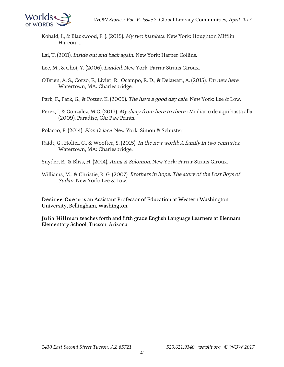

Kobald, I., & Blackwood, F. (. (2015). My two blankets. New York: Houghton Mifflin Harcourt.

Lai, T. (2011). *Inside out and back again*. New York: Harper Collins.

Lee, M., & Choi, Y. (2006). *Landed*. New York: Farrar Straus Giroux.

O'Brien, A. S., Corzo, F., Livier, R., Ocampo, R. D., & Delawari, A. (2015). I'm new here. Watertown, MA: Charlesbridge.

Park, F., Park, G., & Potter, K. (2005). The have a good day cafe. New York: Lee & Low.

Perez, I. & Gonzalez, M.C. (2013). My diary from here to there.: Mi diario de aqui hasta alla. (2009). Paradise, CA: Paw Prints.

Polacco, P. (2014). Fiona's lace. New York: Simon & Schuster.

Raidt, G., Holtei, C., & Woofter, S. (2015). In the new world: A family in two centuries. Watertown, MA: Charlesbridge.

Snyder, E., & Bliss, H. (2014). Anna & Solomon. New York: Farrar Straus Giroux.

Williams, M., & Christie, R. G. (2007). Brothers in hope: The story of the Lost Boys of Sudan. New York: Lee & Low.

Desiree Cueto is an Assistant Professor of Education at Western Washington University, Bellingham, Washington.

Julia Hillman teaches forth and fifth grade English Language Learners at Blennam Elementary School, Tucson, Arizona.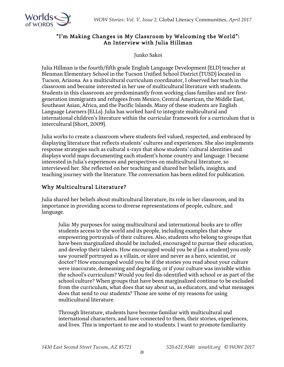*WOW Stories: Vol. V, Issue 2,* Global Literacy Communities, *April 2017*



#### "I'm Making Changes in My Classroom by Welcoming the World": An Interview with Julia Hillman

Junko Sakoi

Julia Hillman is the fourth/fifth grade English Language Development (ELD) teacher at Blenman Elementary School in the Tucson Unified School District (TUSD) located in Tucson, Arizona. As a multicultural curriculum coordinator, I observed her teach in the classroom and became interested in her use of multicultural literature with students. Students in this classroom are predominantly from working class families and are firstgeneration immigrants and refugees from Mexico, Central American, the Middle East, Southeast Asian, Africa, and the Pacific Islands. Many of these students are English Language Learners (ELLs). Julia has worked hard to integrate multicultural and international children's literature within the curricular framework for a curriculum that is intercultural (Short, 2009).

Julia works to create a classroom where students feel valued, respected, and embraced by displaying literature that reflects students' cultures and experiences. She also implements response strategies such as cultural x-rays that show students' cultural identities and displays world maps documenting each student's home country and language. I became interested in Julia's experiences and perspectives on multicultural literature, so interviewed her. She reflected on her teaching and shared her beliefs, insights, and teaching journey with the literature. The conversation has been edited for publication.

#### Why Multicultural Literature?

Julia shared her beliefs about multicultural literature, its role in her classroom, and its importance in providing access to diverse representations of people, culture, and language.

Julia: My purposes for using multicultural and international books are to offer students access to the world and its people, including examples that show empowering portrayals of their cultures. Also, students who belong to groups that have been marginalized should be included, encouraged to pursue their education, and develop their talents. How encouraged would you be if (as a student) you only saw yourself portrayed as a villain, or slave and never as a hero, scientist, or doctor? How encouraged would you be if the stories you read about your culture were inaccurate, demeaning and degrading, or if your culture was invisible within the school's curriculum? Would you feel dis-identified with school or as part of the school culture? When groups that have been marginalized continue to be excluded from the curriculum, what does that say about us, as educators, and what messages does that send to our students? Those are some of my reasons for using multicultural literature.

Through literature, students have become familiar with multicultural and international characters, and have connected to them, their stories, experiences, and lives. This is important to me and to students. I want to promote familiarity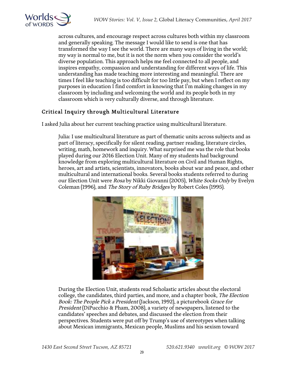



across cultures, and encourage respect across cultures both within my classroom and generally speaking. The message I would like to send is one that has transformed the way I see the world. There are many ways of living in the world; my way is normal to me, but it is not the norm when you consider the world's diverse population. This approach helps me feel connected to all people, and inspires empathy, compassion and understanding for different ways of life. This understanding has made teaching more interesting and meaningful. There are times I feel like teaching is too difficult for too little pay, but when I reflect on my purposes in education I find comfort in knowing that I'm making changes in my classroom by including and welcoming the world and its people both in my classroom which is very culturally diverse, and through literature.

# Critical Inquiry through Multicultural Literature

I asked Julia about her current teaching practice using multicultural literature.

Julia: I use multicultural literature as part of thematic units across subjects and as part of literacy, specifically for silent reading, partner reading, literature circles, writing, math, homework and inquiry. What surprised me was the role that books played during our 2016 Election Unit. Many of my students had background knowledge from exploring multicultural literature on Civil and Human Rights, heroes, art and artists, scientists, innovators, books about war and peace, and other multicultural and international books. Several books students referred to during our Election Unit were Rosa by Nikki Giovanni (2005), White Socks Only by Evelyn Coleman (1996), and The Story of Ruby Bridges by Robert Coles (1995).



During the Election Unit, students read Scholastic articles about the electoral college, the candidates, third parties, and more, and a chapter book, The Election Book: The People Pick a President (Jackson, 1992), a picturebook Grace for President (DiPucchio & Pham, 2008), a variety of newspapers, listened to the candidates' speeches and debates, and discussed the election from their perspectives. Students were put off by Trump's use of stereotypes when talking about Mexican immigrants, Mexican people, Muslims and his sexism toward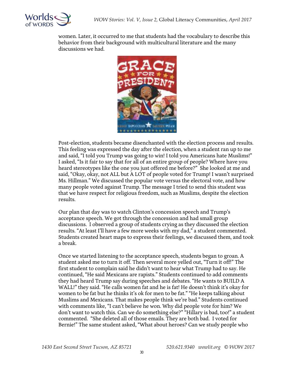

women. Later, it occurred to me that students had the vocabulary to describe this behavior from their background with multicultural literature and the many discussions we had.



Post-election, students became disenchanted with the election process and results. This feeling was expressed the day after the election, when a student ran up to me and said, "I told you Trump was going to win! I told you Americans hate Muslims!" I asked, "Is it fair to say that for all of an entire group of people? Where have you heard stereotypes like the one you just offered me before?" She looked at me and said, "Okay, okay, not ALL but A LOT of people voted for Trump! I wasn't surprised Ms. Hillman." We discussed the popular vote versus the electoral vote, and how many people voted against Trump. The message I tried to send this student was that we have respect for religious freedom, such as Muslims, despite the election results.

Our plan that day was to watch Clinton's concession speech and Trump's acceptance speech. We got through the concession and had small group discussions. I observed a group of students crying as they discussed the election results. "At least I'll have a few more weeks with my dad," a student commented. Students created heart maps to express their feelings, we discussed them, and took a break.

Once we started listening to the acceptance speech, students began to groan. A student asked me to turn it off. Then several more yelled out, "Turn it off!" The first student to complain said he didn't want to hear what Trump had to say. He continued, "He said Mexicans are rapists." Students continued to add comments they had heard Trump say during speeches and debates. "He wants to BUILD A WALL!" they said. "He calls women fat and he is fat! He doesn't think it's okay for women to be fat but he thinks it's ok for men to be fat." "He keeps talking about Muslims and Mexicans. That makes people think we're bad." Students continued with comments like, "I can't believe he won. Why did people vote for him? We don't want to watch this. Can we do something else?" "Hillary is bad, too!" a student commented. "She deleted all of those emails. They are both bad. I voted for Bernie!" The same student asked, "What about heroes? Can we study people who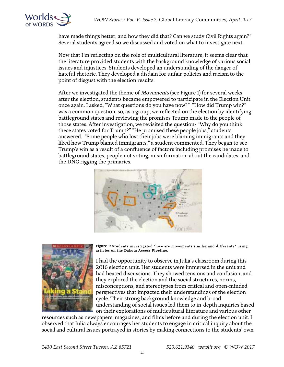

have made things better, and how they did that? Can we study Civil Rights again?" Several students agreed so we discussed and voted on what to investigate next.

Now that I'm reflecting on the role of multicultural literature, it seems clear that the literature provided students with the background knowledge of various social issues and injustices. Students developed an understanding of the danger of hateful rhetoric. They developed a disdain for unfair policies and racism to the point of disgust with the election results.

After we investigated the theme of *Movements* (see Figure 1) for several weeks after the election, students became empowered to participate in the Election Unit once again. I asked, "What questions do you have now?" "How did Trump win?" was a common question, so, as a group, we reflected on the election by identifying battleground states and reviewing the promises Trump made to the people of those states. After investigation, we revisited the question- "Why do you think these states voted for Trump?" "He promised these people jobs," students answered. "Some people who lost their jobs were blaming immigrants and they liked how Trump blamed immigrants," a student commented. They began to see Trump's win as a result of a confluence of factors including promises he made to battleground states, people not voting, misinformation about the candidates, and the DNC rigging the primaries.





#### Figure 1: Students investigated "how are movements similar and different?" using articles on the Dakota Access Pipeline.

I had the opportunity to observe in Julia's classroom during this 2016 election unit. Her students were immersed in the unit and had heated discussions. They showed tensions and confusion, and they explored the election and the social structures, norms, misconceptions, and stereotypes from critical and open-minded perspectives that impacted their understandings of the election cycle. Their strong background knowledge and broad understanding of social issues led them to in-depth inquiries based on their explorations of multicultural literature and various other

resources such as newspapers, magazines, and films before and during the election unit. I observed that Julia always encourages her students to engage in critical inquiry about the social and cultural issues portrayed in stories by making connections to the students' own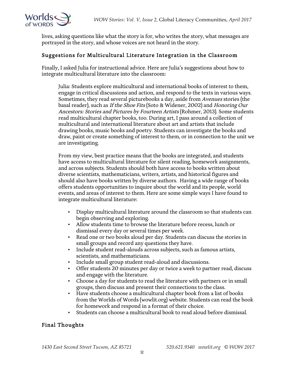

lives, asking questions like what the story is for, who writes the story, what messages are portrayed in the story, and whose voices are not heard in the story.

#### Suggestions for Multicultural Literature Integration in the Classroom

Finally, I asked Julia for instructional advice. Here are Julia's suggestions about how to integrate multicultural literature into the classroom:

Julia: Students explore multicultural and international books of interest to them, engage in critical discussions and action, and respond to the texts in various ways. Sometimes, they read several picturebooks a day, aside from Avenues stories (the basal reader), such as If the Shoe Fits (Soto & Widener, 2002) and Honoring Our Ancestors: Stories and Pictures by Fourteen Artists (Rohmer, 2013). Some students read multicultural chapter books, too. During art, I pass around a collection of multicultural and international literature about art and artists that include drawing books, music books and poetry. Students can investigate the books and draw, paint or create something of interest to them, or in connection to the unit we are investigating.

From my view, best practice means that the books are integrated, and students have access to multicultural literature for silent reading, homework assignments, and across subjects. Students should both have access to books written about diverse scientists, mathematicians, writers, artists, and historical figures and should also have books written by diverse authors. Having a wide range of books offers students opportunities to inquire about the world and its people, world events, and areas of interest to them. Here are some simple ways I have found to integrate multicultural literature:

- Display multicultural literature around the classroom so that students can begin observing and exploring.
- Allow students time to browse the literature before recess, lunch or dismissal every day or several times per week.
- Read one or two books aloud per day. Students can discuss the stories in small groups and record any questions they have.
- Include student read-alouds across subjects, such as famous artists, scientists, and mathematicians.
- Include small group student read-aloud and discussions.
- Offer students 20 minutes per day or twice a week to partner read, discuss and engage with the literature.
- Choose a day for students to read the literature with partners or in small groups, then discuss and present their connections to the class.
- Have students choose a multicultural chapter book from a list of books from the Worlds of Words (wowlit.org) website. Students can read the book for homework and respond in a format of their choice.
- Students can choose a multicultural book to read aloud before dismissal.

#### Final Thoughts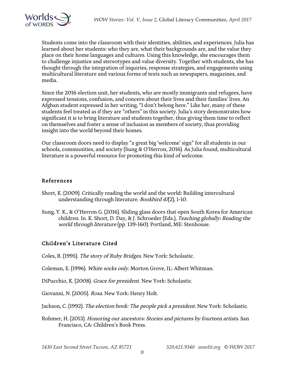

Students come into the classroom with their identities, abilities, and experiences. Julia has learned about her students: who they are, what their backgrounds are, and the value they place on their home languages and cultures. Using this knowledge, she encourages them to challenge injustice and stereotypes and value diversity. Together with students, she has thought through the integration of inquiries, response strategies, and engagements using multicultural literature and various forms of texts such as newspapers, magazines, and media.

Since the 2016 election unit, her students, who are mostly immigrants and refugees, have expressed tensions, confusion, and concern about their lives and their families' lives. An Afghan student expressed in her writing, "I don't belong here." Like her, many of these students feel treated as if they are "others" in this society. Julia's story demonstrates how significant it is to bring literature and students together, thus giving them time to reflect on themselves and foster a sense of inclusion as members of society, thus providing insight into the world beyond their homes.

Our classroom doors need to display "a great big 'welcome' sign" for all students in our schools, communities, and society (Sung & O'Herron, 2016). As Julia found, multicultural literature is a powerful resource for promoting this kind of welcome.

#### References

- Short, K. (2009). Critically reading the world and the world: Building intercultural understanding through literature. Bookbird 47(2), 1-10.
- Sung, Y. K., & O'Herron G. (2016). Sliding glass doors that open South Korea for American children. In. K. Short, D. Day, & J. Schroeder (Eds.), Teaching globally: Reading the world through literature (pp. 139-160). Portland, ME: Stenhouse.

#### Children's Literature Cited

Coles, R. (1995). The story of Ruby Bridges. New York: Scholastic.

Coleman, E. (1996). White socks only. Morton Grove, IL: Albert Whitman.

DiPucchio, K. (2008). Grace for president. New York: Scholastic.

Giovanni, N. (2005). Rosa. New York: Henry Holt.

Jackson, C. (1992). The election book: The people pick a president. New York: Scholastic.

Rohmer, H. (2013). Honoring our ancestors: Stories and pictures by fourteen artists. San Francisco, CA: Children's Book Press.